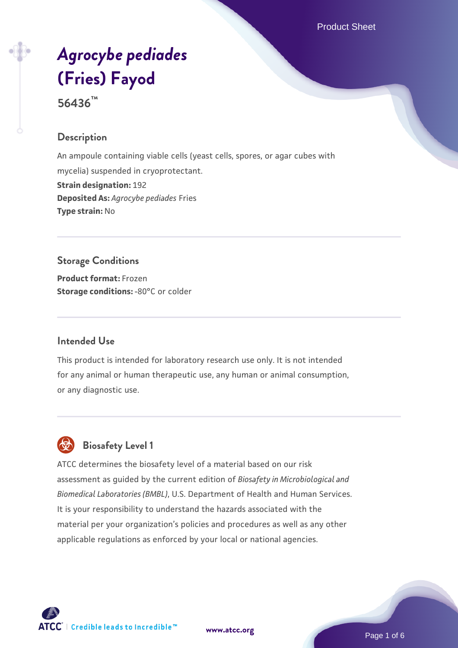Product Sheet

# *[Agrocybe pediades](https://www.atcc.org/products/56436)* **[\(Fries\) Fayod](https://www.atcc.org/products/56436)**

**56436™**

# **Description**

An ampoule containing viable cells (yeast cells, spores, or agar cubes with mycelia) suspended in cryoprotectant. **Strain designation:** 192 **Deposited As:** *Agrocybe pediades* Fries **Type strain:** No

# **Storage Conditions**

**Product format:** Frozen **Storage conditions: -80°C or colder** 

## **Intended Use**

This product is intended for laboratory research use only. It is not intended for any animal or human therapeutic use, any human or animal consumption, or any diagnostic use.



# **Biosafety Level 1**

ATCC determines the biosafety level of a material based on our risk assessment as guided by the current edition of *Biosafety in Microbiological and Biomedical Laboratories (BMBL)*, U.S. Department of Health and Human Services. It is your responsibility to understand the hazards associated with the material per your organization's policies and procedures as well as any other applicable regulations as enforced by your local or national agencies.

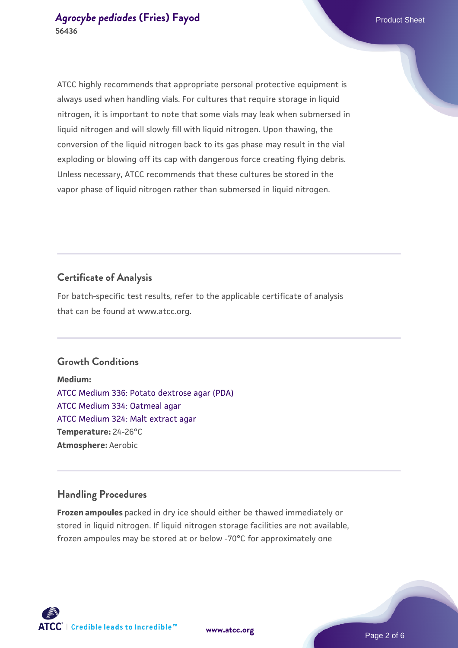# *[Agrocybe pediades](https://www.atcc.org/products/56436)* **[\(Fries\) Fayod](https://www.atcc.org/products/56436) Product Sheet** Product Sheet **56436**

ATCC highly recommends that appropriate personal protective equipment is always used when handling vials. For cultures that require storage in liquid nitrogen, it is important to note that some vials may leak when submersed in liquid nitrogen and will slowly fill with liquid nitrogen. Upon thawing, the conversion of the liquid nitrogen back to its gas phase may result in the vial exploding or blowing off its cap with dangerous force creating flying debris. Unless necessary, ATCC recommends that these cultures be stored in the vapor phase of liquid nitrogen rather than submersed in liquid nitrogen.

# **Certificate of Analysis**

For batch-specific test results, refer to the applicable certificate of analysis that can be found at www.atcc.org.

# **Growth Conditions**

**Medium:**  [ATCC Medium 336: Potato dextrose agar \(PDA\)](https://www.atcc.org/-/media/product-assets/documents/microbial-media-formulations/3/3/6/atcc-medium-336.pdf?rev=d9160ad44d934cd8b65175461abbf3b9) [ATCC Medium 334: Oatmeal agar](https://www.atcc.org/-/media/product-assets/documents/microbial-media-formulations/3/3/4/atcc-medium-334.pdf?rev=e382a75a48794764902dd7457c97fc29) [ATCC Medium 324: Malt extract agar](https://www.atcc.org/-/media/product-assets/documents/microbial-media-formulations/3/2/4/atcc-medium-324.pdf?rev=5a8b3f6dcb23452d9462ec38b36f0bb6) **Temperature:** 24-26°C **Atmosphere:** Aerobic

#### **Handling Procedures**

**Frozen ampoules** packed in dry ice should either be thawed immediately or stored in liquid nitrogen. If liquid nitrogen storage facilities are not available, frozen ampoules may be stored at or below -70°C for approximately one

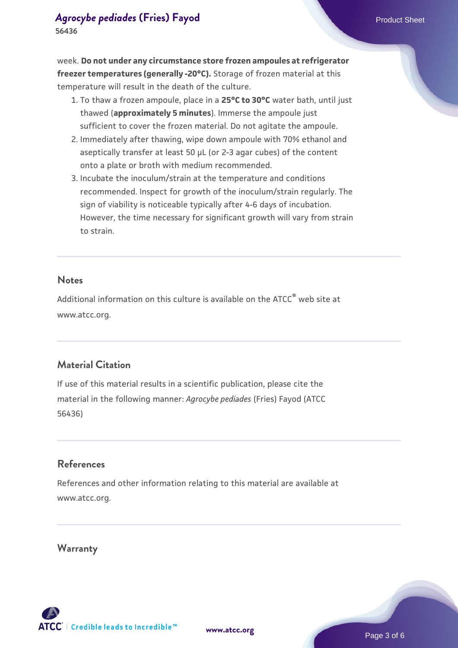week. **Do not under any circumstance store frozen ampoules at refrigerator freezer temperatures (generally -20°C).** Storage of frozen material at this temperature will result in the death of the culture.

- 1. To thaw a frozen ampoule, place in a **25°C to 30°C** water bath, until just thawed (**approximately 5 minutes**). Immerse the ampoule just sufficient to cover the frozen material. Do not agitate the ampoule.
- 2. Immediately after thawing, wipe down ampoule with 70% ethanol and aseptically transfer at least 50 µL (or 2-3 agar cubes) of the content onto a plate or broth with medium recommended.
- 3. Incubate the inoculum/strain at the temperature and conditions recommended. Inspect for growth of the inoculum/strain regularly. The sign of viability is noticeable typically after 4-6 days of incubation. However, the time necessary for significant growth will vary from strain to strain.

#### **Notes**

Additional information on this culture is available on the ATCC<sup>®</sup> web site at www.atcc.org.

## **Material Citation**

If use of this material results in a scientific publication, please cite the material in the following manner: *Agrocybe pediades* (Fries) Fayod (ATCC 56436)

## **References**

References and other information relating to this material are available at www.atcc.org.

#### **Warranty**

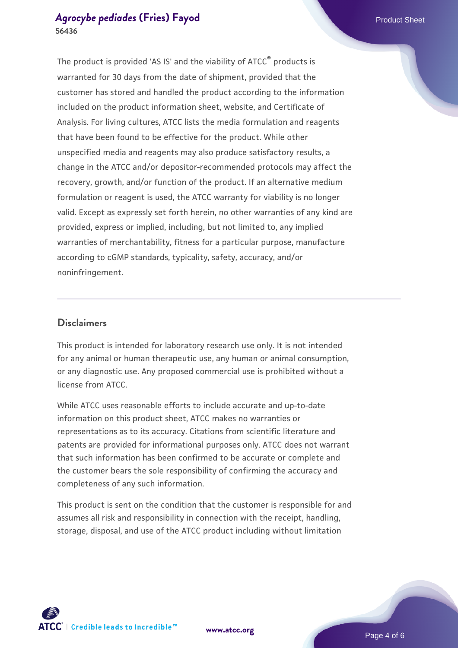# *[Agrocybe pediades](https://www.atcc.org/products/56436)* **[\(Fries\) Fayod](https://www.atcc.org/products/56436) Product Sheet** Product Sheet **56436**

The product is provided 'AS IS' and the viability of ATCC® products is warranted for 30 days from the date of shipment, provided that the customer has stored and handled the product according to the information included on the product information sheet, website, and Certificate of Analysis. For living cultures, ATCC lists the media formulation and reagents that have been found to be effective for the product. While other unspecified media and reagents may also produce satisfactory results, a change in the ATCC and/or depositor-recommended protocols may affect the recovery, growth, and/or function of the product. If an alternative medium formulation or reagent is used, the ATCC warranty for viability is no longer valid. Except as expressly set forth herein, no other warranties of any kind are provided, express or implied, including, but not limited to, any implied warranties of merchantability, fitness for a particular purpose, manufacture according to cGMP standards, typicality, safety, accuracy, and/or noninfringement.

## **Disclaimers**

This product is intended for laboratory research use only. It is not intended for any animal or human therapeutic use, any human or animal consumption, or any diagnostic use. Any proposed commercial use is prohibited without a license from ATCC.

While ATCC uses reasonable efforts to include accurate and up-to-date information on this product sheet, ATCC makes no warranties or representations as to its accuracy. Citations from scientific literature and patents are provided for informational purposes only. ATCC does not warrant that such information has been confirmed to be accurate or complete and the customer bears the sole responsibility of confirming the accuracy and completeness of any such information.

This product is sent on the condition that the customer is responsible for and assumes all risk and responsibility in connection with the receipt, handling, storage, disposal, and use of the ATCC product including without limitation



**[www.atcc.org](http://www.atcc.org)**

Page 4 of 6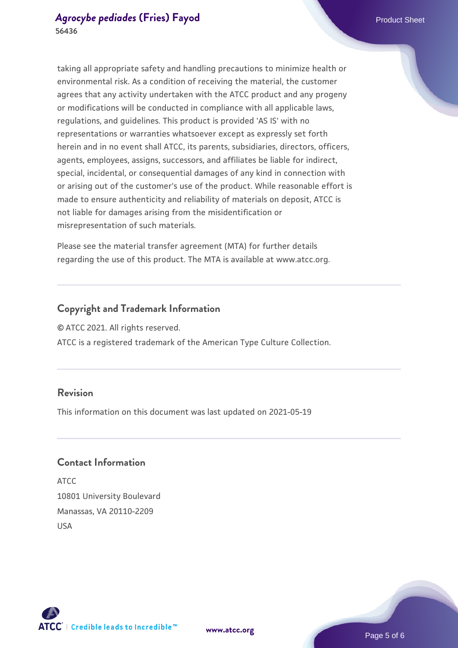taking all appropriate safety and handling precautions to minimize health or environmental risk. As a condition of receiving the material, the customer agrees that any activity undertaken with the ATCC product and any progeny or modifications will be conducted in compliance with all applicable laws, regulations, and guidelines. This product is provided 'AS IS' with no representations or warranties whatsoever except as expressly set forth herein and in no event shall ATCC, its parents, subsidiaries, directors, officers, agents, employees, assigns, successors, and affiliates be liable for indirect, special, incidental, or consequential damages of any kind in connection with or arising out of the customer's use of the product. While reasonable effort is made to ensure authenticity and reliability of materials on deposit, ATCC is not liable for damages arising from the misidentification or misrepresentation of such materials.

Please see the material transfer agreement (MTA) for further details regarding the use of this product. The MTA is available at www.atcc.org.

# **Copyright and Trademark Information**

© ATCC 2021. All rights reserved.

ATCC is a registered trademark of the American Type Culture Collection.

# **Revision**

This information on this document was last updated on 2021-05-19

# **Contact Information**

ATCC 10801 University Boulevard Manassas, VA 20110-2209 USA